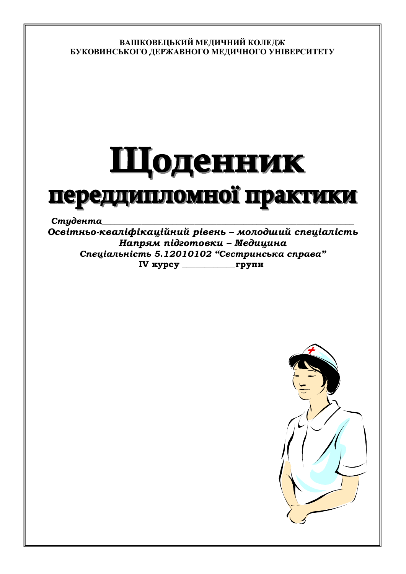# ВАШКОВЕШЬКИЙ МЕЛИЧНИЙ КОЛЕЛЖ БУКОВИНСЬКОГО ДЕРЖАВНОГО МЕДИЧНОГО УНІВЕРСИТЕТУ

# Шоденник переддипломної практики

Студента

*ǼȟȐȳȠțȪȜȘȐȎșȳȢȳȘȎȤȳȗțȖȗȞȳȐȓțȪ – ȚȜșȜȒȦȖȗȟȝȓȤȳȎșȳȟȠȪ*  $H$ апрям підготовки – Медицина *ǿȝȓȤȳȎșȪțȳȟȠȪ 5.12010102 "ǿȓȟȠȞȖțȟȪȘȎȟȝȞȎȐȎ"*  **ǥV ȘȡȞȟȡ \_\_\_\_\_\_\_\_\_\_\_\_ȑȞȡȝȖ**

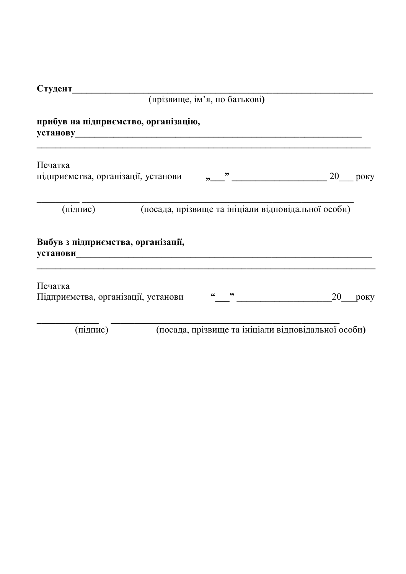| Студент                                                                                                                                                                                                                                                                         |            |
|---------------------------------------------------------------------------------------------------------------------------------------------------------------------------------------------------------------------------------------------------------------------------------|------------|
| (прізвище, ім'я, по батькові)                                                                                                                                                                                                                                                   |            |
| прибув на підприємство, організацію,<br><b>установу</b> <u>дажнице с постановите с постановите с</u> постановите с постановите с постановите с постановите с постановите с постановите с постановите с постановите с постановите с постановите с постановите с постановите с по |            |
| Печатка<br><u>"  "</u><br>підприємства, організації, установи                                                                                                                                                                                                                   | $20$ року  |
| (посада, прізвище та ініціали відповідальної особи)<br>(підпис)                                                                                                                                                                                                                 |            |
| Вибув з підприємства, організації,<br>установи                                                                                                                                                                                                                                  |            |
| Печатка<br>$\begin{array}{c}\n\text{} \\ \text{} \\ \hline\n\end{array}$<br>Підприємства, організації, установи                                                                                                                                                                 | 20<br>року |
| (посада, прізвище та ініціали відповідальної особи)<br>(підпис)                                                                                                                                                                                                                 |            |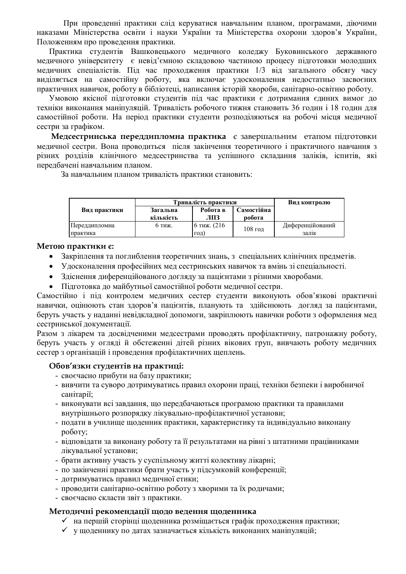При проведенні практики слід керуватися навчальним планом, програмами, діючими наказами Міністерства освіти і науки України та Міністерства охорони здоров'я України, Положенням про проведення практики.

Практика студентів Вашковецького медичного коледжу Буковинського державного медичного університету є невід'ємною складовою частиною процесу підготовки молодших медичних спеціалістів. Під час проходження практики 1/3 від загального обсягу часу виділяється на самостійну роботу, яка включає удосконалення недостатньо засвоєних практичних навичок, роботу в бібліотеці, написання історій хвороби, санітарно-освітню роботу.

Умовою якісної підготовки студентів під час практики є дотримання єдиних вимог до техніки виконання маніпуляцій. Тривалість робочого тижня становить 36 годин і 18 годин для самостійної роботи. На період практики студенти розподіляються на робочі місця медичної сестри за графіком.

Медсестринська переддипломна практика є завершальним етапом підготовки меличної сестри. Вона проволиться після закінчення теоретичного і практичного навчання з різних розділів клінічного медсестринства та успішного складання заліків, іспитів, які передбачені навчальним планом.

За навчальним планом тривалість практики становить:

|                           | Тривалість практики   | Вид контролю        |                      |                           |
|---------------------------|-----------------------|---------------------|----------------------|---------------------------|
| Вид практики              | Загальна<br>кількість | Робота в<br>ЛПЗ     | Самостійна<br>робота |                           |
| Переддипломна<br>практика | 6 тиж.                | 6 тиж. (216<br>год) | $108$ год            | Диференційований<br>залік |

#### Метою практики  $\varepsilon$ :

- Закріплення та поглиблення теоретичних знань, з спеціальних клінічних предметів.
- Удосконалення професійних мед сестринських навичок та вмінь зі спеціальності.
- Здіснення диференційованого догляду за пацієнтами з різними хворобами.
- Підготовка до майбутньої самостійної роботи медичної сестри.

Самостійно і під контролем медичних сестер студенти виконують обов'язкові практичні навички, оцінюють стан здоров'я пацієнтів, планують та здійснюють догляд за пацієнтами, беруть участь у наданні невідкладної допомоги, закріплюють навички роботи з оформлення мед сестринської документації.

Разом з лікарем та досвідченими медсестрами проводять профілактичну, патронажну роботу, беруть участь у огляді й обстеженні дітей різних вікових груп, вивчають роботу медичних сестер з організацій і проведення профілактичних щеплень.

#### Обов'язки студентів на практиці:

- своєчасно прибути на базу практики;
- вивчити та суворо дотримуватись правил охорони праці, техніки безпеки і виробничої санітарії;
- виконувати всі завдання, що передбачаються програмою практики та правилами внутрішнього розпорядку лікувально-профілактичної установи;
- подати в училище щоденник практики, характеристику та індивідуально виконану роботу;
- відповідати за виконану роботу та її результатами на рівні з штатними працівниками лікувальної установи;
- брати активну участь у суспільному житті колективу лікарні;
- по закінченні практики брати участь у підсумковій конференції;
- дотримуватись правил медичної етики;
- проводити санітарно-освітню роботу з хворими та їх родичами;
- своєчасно скласти звіт з практики.

#### Методичні рекомендації щодо ведення щоденника

- √ на першій сторінці щоденника розміщається графік проходження практики;
- ◆ ущоденнику по датах зазначається кількість виконаних маніпуляцій;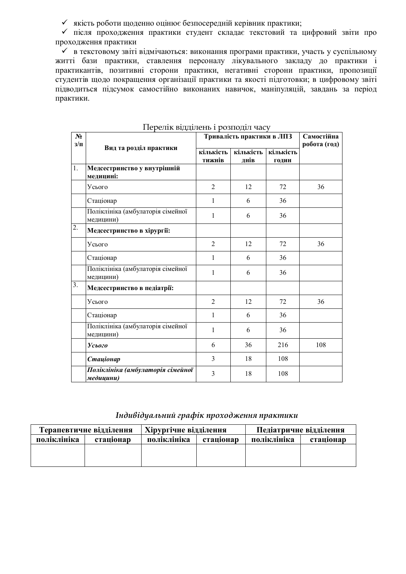◆ якість роботи щоденно оцінює безпосередній керівник практики;

√ після проходження практики студент складає текстовий та цифровий звіти про проходження практики

◆ в текстовому звіті відмічаються: виконання програми практики, участь у суспільному житті бази практики, ставлення персоналу лікувального закладу до практики і практикантів, позитивні сторони практики, негативні сторони практики, пропозиції студентів щодо покращення організації практики та якості підготовки; в цифровому звіті підводиться підсумок самостійно виконаних навичок, маніпуляцій, завдань за період практики.

| $N_2$<br>$3/\Pi$ | $100$ $\mu$<br>Вид та розділ практики          |                     | Тривалість практики в ЛПЗ |                           | Самостійна<br>робота (год) |
|------------------|------------------------------------------------|---------------------|---------------------------|---------------------------|----------------------------|
|                  |                                                | кількість<br>тижнів | кількість<br>днів         | кількість<br><b>ГОДИН</b> |                            |
| 1.               | Медсестринство у внутрішній<br>медицині:       |                     |                           |                           |                            |
|                  | Усього                                         | $\overline{2}$      | 12                        | 72                        | 36                         |
|                  | Стаціонар                                      | 1                   | 6                         | 36                        |                            |
|                  | Поліклініка (амбулаторія сімейної<br>медицини) | 1                   | 6                         | 36                        |                            |
| 2.               | Медсестринство в хірургії:                     |                     |                           |                           |                            |
|                  | Усього                                         | $\overline{2}$      | 12                        | 72                        | 36                         |
|                  | Стаціонар                                      | 1                   | 6                         | 36                        |                            |
|                  | Поліклініка (амбулаторія сімейної<br>медицини) | 1                   | 6                         | 36                        |                            |
| 3.               | Медсестринство в педіатрії:                    |                     |                           |                           |                            |
|                  | Усього                                         | $\overline{2}$      | 12                        | 72                        | 36                         |
|                  | Стаціонар                                      | 1                   | 6                         | 36                        |                            |
|                  | Поліклініка (амбулаторія сімейної<br>медицини) | 1                   | 6                         | 36                        |                            |
|                  | Усього                                         | 6                   | 36                        | 216                       | 108                        |
|                  | Стаціонар                                      | 3                   | 18                        | 108                       |                            |
|                  | Поліклініка (амбулаторія сімейної<br>медицини) | 3                   | 18                        | 108                       |                            |

#### $\Pi$ ерелік віллілень і розполіл часу

**Індивідуальний графік проходження практики** 

| Герапевтичне відділення |           | Хірургічне відділення   |  | Педіатричне відділення |          |  |
|-------------------------|-----------|-------------------------|--|------------------------|----------|--|
| поліклініка             | стаціонар | поліклініка<br>сташонар |  | поліклініка            | сташонар |  |
|                         |           |                         |  |                        |          |  |
|                         |           |                         |  |                        |          |  |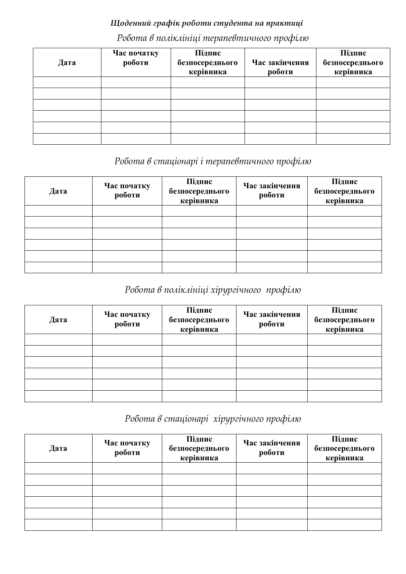# *ȇȜȒȓțțȖȗȑȞȎȢȳȘȞȜȏȜȠȖȟȠȡȒȓțȠȎțȎȝȞȎȘȠȖȤȳ*

| Дата | Час початку<br>роботи | Підпис<br>безпосереднього<br>керівника | Час закінчення<br>роботи | Підпис<br>безпосереднього<br>керівника |
|------|-----------------------|----------------------------------------|--------------------------|----------------------------------------|
|      |                       |                                        |                          |                                        |
|      |                       |                                        |                          |                                        |
|      |                       |                                        |                          |                                        |
|      |                       |                                        |                          |                                        |
|      |                       |                                        |                          |                                        |
|      |                       |                                        |                          |                                        |

# Робота в поліклініці терапевтичного профілю

# Робота в стаціонарі і терапевтичного профілю

| Дата | Час початку<br>роботи | Підпис<br>безпосереднього<br>керівника | Час закінчення<br>роботи | Підпис<br>безпосереднього<br>керівника |
|------|-----------------------|----------------------------------------|--------------------------|----------------------------------------|
|      |                       |                                        |                          |                                        |
|      |                       |                                        |                          |                                        |
|      |                       |                                        |                          |                                        |
|      |                       |                                        |                          |                                        |
|      |                       |                                        |                          |                                        |
|      |                       |                                        |                          |                                        |

# Робота в поліклініці хірургічного профілю

| Дата | Час початку<br>роботи | Підпис<br>безпосереднього<br>керівника | Час закінчення<br>роботи | Підпис<br>безпосереднього<br>керівника |
|------|-----------------------|----------------------------------------|--------------------------|----------------------------------------|
|      |                       |                                        |                          |                                        |
|      |                       |                                        |                          |                                        |
|      |                       |                                        |                          |                                        |
|      |                       |                                        |                          |                                        |
|      |                       |                                        |                          |                                        |
|      |                       |                                        |                          |                                        |

Робота в стаціонарі хірургічного профілю

| Дата | Час початку<br>роботи | Підпис<br>безпосереднього<br>керівника | Час закінчення<br>роботи | Підпис<br>безпосереднього<br>керівника |
|------|-----------------------|----------------------------------------|--------------------------|----------------------------------------|
|      |                       |                                        |                          |                                        |
|      |                       |                                        |                          |                                        |
|      |                       |                                        |                          |                                        |
|      |                       |                                        |                          |                                        |
|      |                       |                                        |                          |                                        |
|      |                       |                                        |                          |                                        |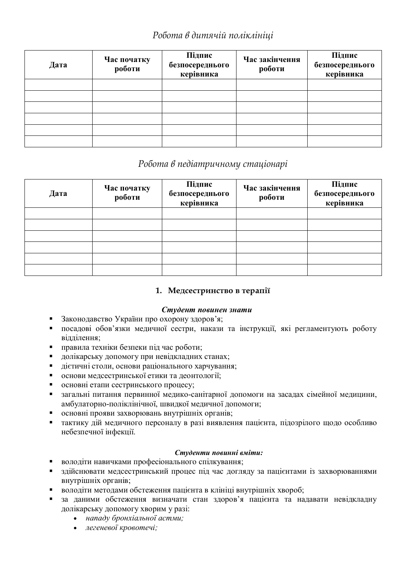# Робота в дитячій поліклініці

| Дата | Час початку<br>роботи | Підпис<br>безпосереднього<br>керівника | Час закінчення<br>роботи | Підпис<br>безпосереднього<br>керівника |
|------|-----------------------|----------------------------------------|--------------------------|----------------------------------------|
|      |                       |                                        |                          |                                        |
|      |                       |                                        |                          |                                        |
|      |                       |                                        |                          |                                        |
|      |                       |                                        |                          |                                        |
|      |                       |                                        |                          |                                        |
|      |                       |                                        |                          |                                        |

# Робота в педіатричному стаціонарі

| Дата | Час початку<br>роботи | Підпис<br>безпосереднього<br>керівника | Час закінчення<br>роботи | Підпис<br>безпосереднього<br>керівника |
|------|-----------------------|----------------------------------------|--------------------------|----------------------------------------|
|      |                       |                                        |                          |                                        |
|      |                       |                                        |                          |                                        |
|      |                       |                                        |                          |                                        |
|      |                       |                                        |                          |                                        |
|      |                       |                                        |                          |                                        |
|      |                       |                                        |                          |                                        |

## 1. Медсестринство в терапії

## **Студент повинен знати**

- Законолавство України про охорону злоров'я:
- посадові обов'язки медичної сестри, накази та інструкції, які регламентують роботу відділення;
- правила техніки безпеки під час роботи;
- долікарську допомогу при невідкладних станах;
- дієтичні столи, основи раціонального харчування;
- основи медсестринської етики та деонтології;
- основні етапи сестринського процесу;
- загальні питання первинної медико-санітарної допомоги на засадах сімейної медицини, амбулаторно-поліклінічної, швидкої медичної допомоги;
- основні прояви захворювань внутрішніх органів;
- тактику дій медичного персоналу в разі виявлення пацієнта, підозрілого щодо особливо небезпечної інфекції.

#### $C$ *түденти повинні вміти:*

- володіти навичками професіонального спілкування;
- здійснювати медсестринський процес під час догляду за пацієнтами із захворюваннями внутрішніх органів;
- володіти методами обстеження пацієнта в клініці внутрішніх хвороб;
- за даними обстеження визначати стан здоров'я пацієнта та надавати невідкладну долікарську допомогу хворим у разі:
	- нападу бронхіальної астми;
	- легеневої кровотечі;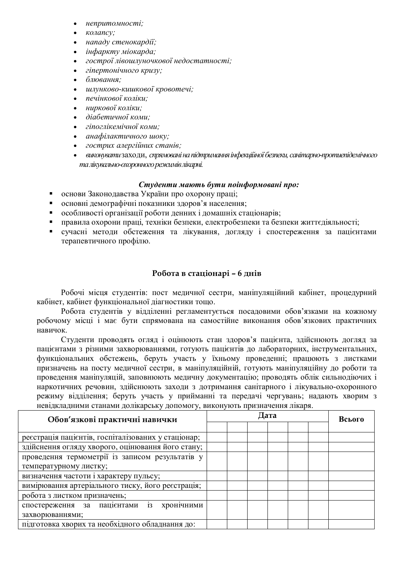- $then pum o M H o c m i;$
- $κ$ *onancy*;
- *нападу стенокардії*;
- iнфаркту мiокарда;
- $20$ строї лівошлуночкової недостатності;
- $\emph{zinepmoni}$ *чного кризу*;
- $б**лювання**;$
- $u$ лунково-кишкової кровотечі;
- печінкової коліки;
- $h$ *ниркової коліки*;
- $\partial$ *iабетичної коми:*
- *гіпоглікемічної коми:*
- $a$ *нафілактичного шоку*;
- $20$ стрих алергійних станів;
- виконувати заходи, спрямовані на підтримання інфекційної безпеки, санітарно-протиепідемічного та лікувально-охоронного режимів лікарні.

## $C$ *түденти мають бүти поінформовані про:*

- основи Законодавства України про охорону праці;
- основні демографічні показники здоров'я населення;
- особливості організації роботи денних і домашніх стаціонарів;
- правила охорони праці, техніки безпеки, електробезпеки та безпеки життєдіяльності;
- сучасні методи обстеження та лікування, догляду і спостереження за пацієнтами терапевтичного профілю.

# Робота в стаціонарі - 6 лнів

Робочі місця студентів: пост медичної сестри, маніпуляційний кабінет, процедурний кабінет, кабінет функціональної діагностики тощо.

Робота студентів у вілліленні регламентується посаловими обов'язками на кожному робочому місці і має бути спрямована на самостійне виконання обов'язкових практичних навичок.

Студенти проводять огляд і оцінюють стан здоров'я пацієнта, здійснюють догляд за пацієнтами з різними захворюваннями, готують пацієнтів до лабораторних, інструментальних, функціональних обстежень, беруть участь у їхньому проведенні; працюють з листками призначень на посту медичної сестри, в маніпуляційній, готують маніпуляційну до роботи та проведення маніпуляцій, заповнюють медичну документацію; проводять облік сильнодіючих і наркотичних речовин, здійснюють заходи з дотримання санітарного і лікувально-охоронного режиму відділення; беруть участь у прийманні та передачі чергувань; надають хворим з невідкладними станами долікарську допомогу, виконують призначення лікаря.

| Обов'язкові практичні навички                       | Дата |  |  |  |
|-----------------------------------------------------|------|--|--|--|
|                                                     |      |  |  |  |
| реєстрація пацієнтів, госпіталізованих у стаціонар; |      |  |  |  |
| здійснення огляду хворого, оцінювання його стану;   |      |  |  |  |
| проведення термометрії із записом результатів у     |      |  |  |  |
| температурному листку;                              |      |  |  |  |
| визначення частоти і характеру пульсу;              |      |  |  |  |
| вимірювання артеріального тиску, його реєстрація;   |      |  |  |  |
| робота з листком призначень;                        |      |  |  |  |
| спостереження за пацієнтами із<br>хронічними        |      |  |  |  |
| захворюваннями;                                     |      |  |  |  |
| підготовка хворих та необхідного обладнання до:     |      |  |  |  |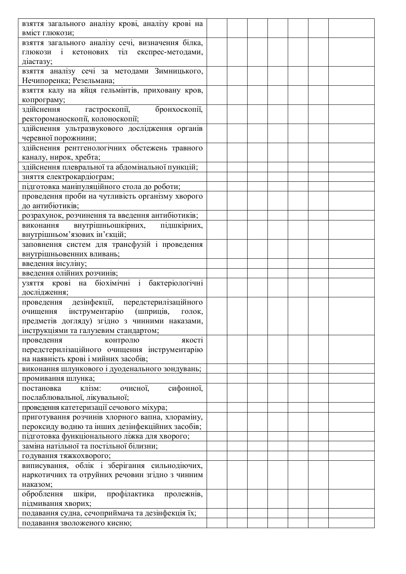| взяття загального аналізу крові, аналізу крові на  |  |  |  |  |
|----------------------------------------------------|--|--|--|--|
| вміст глюкози;                                     |  |  |  |  |
| взяття загального аналізу сечі, визначення білка,  |  |  |  |  |
| глюкози і кетонових тіл експрес-методами,          |  |  |  |  |
| діастазу;                                          |  |  |  |  |
| взяття аналізу сечі за методами Зимницького,       |  |  |  |  |
| Нечипоренка; Резельмана;                           |  |  |  |  |
| взяття калу на яйця гельмінтів, приховану кров,    |  |  |  |  |
| копрограму;                                        |  |  |  |  |
| гастроскопії,<br>бронхоскопії,<br>здійснення       |  |  |  |  |
| ректороманоскопії, колоноскопії;                   |  |  |  |  |
| здійснення ультразвукового дослідження органів     |  |  |  |  |
| черевної порожнини;                                |  |  |  |  |
| здійснення рентгенологічних обстежень травного     |  |  |  |  |
| каналу, нирок, хребта;                             |  |  |  |  |
| здійснення плевральної та абдомінальної пункцій;   |  |  |  |  |
| зняття електрокардіограм;                          |  |  |  |  |
| підготовка маніпуляційного стола до роботи;        |  |  |  |  |
| проведення проби на чутливість організму хворого   |  |  |  |  |
| до антибіотиків;                                   |  |  |  |  |
| розрахунок, розчинення та введення антибіотиків;   |  |  |  |  |
| внутрішньошкірних, підшкірних,<br>виконання        |  |  |  |  |
| внутрішньом'язових ін'єкцій;                       |  |  |  |  |
| заповнення систем для трансфузій і проведення      |  |  |  |  |
| внутрішньовенних вливань;                          |  |  |  |  |
| введення інсуліну;                                 |  |  |  |  |
| введення олійних розчинів;                         |  |  |  |  |
| узяття крові на біохімічні і бактеріологічні       |  |  |  |  |
| дослідження;                                       |  |  |  |  |
| проведення дезінфекції, передстерилізаційного      |  |  |  |  |
| очищення інструментарію (шприців, голок,           |  |  |  |  |
| предметів догляду) згідно з чинними наказами,      |  |  |  |  |
| інструкціями та галузевим стандартом;              |  |  |  |  |
| контролю<br>проведення<br>якості                   |  |  |  |  |
| передстерилізаційного очищення інструментарію      |  |  |  |  |
| на наявність крові і мийних засобів;               |  |  |  |  |
| виконання шлункового і дуоденального зондувань;    |  |  |  |  |
| промивання шлунка;                                 |  |  |  |  |
| очисної,<br>сифонної,<br>клізм:<br>постановка      |  |  |  |  |
| послаблювальної, лікувальної;                      |  |  |  |  |
| проведення катетеризації сечового міхура;          |  |  |  |  |
| приготування розчинів хлорного вапна, хлораміну,   |  |  |  |  |
| пероксиду водню та інших дезінфекційних засобів;   |  |  |  |  |
| підготовка функціонального ліжка для хворого;      |  |  |  |  |
| заміна натільної та постільної білизни;            |  |  |  |  |
| годування тяжкохворого;                            |  |  |  |  |
| виписування, облік і зберігання сильнодіючих,      |  |  |  |  |
| наркотичних та отруйних речовин згідно з чинним    |  |  |  |  |
| наказом;                                           |  |  |  |  |
| профілактика<br>оброблення<br>шкіри,<br>пролежнів, |  |  |  |  |
| підмивання хворих;                                 |  |  |  |  |
| подавання судна, сечоприймача та дезінфекція їх;   |  |  |  |  |
| подавання зволоженого кисню;                       |  |  |  |  |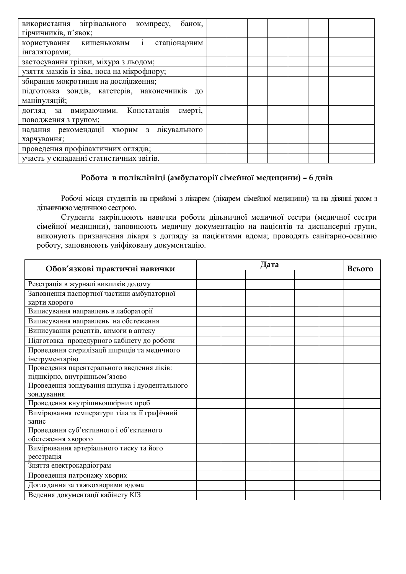| банок,<br>зігрівального<br>компресу,<br>використання<br>гірчичників, п'явок; |  |  |
|------------------------------------------------------------------------------|--|--|
| користування кишеньковим і<br>стаціонарним                                   |  |  |
| інгаляторами;                                                                |  |  |
| застосування грілки, міхура з льодом;                                        |  |  |
| узяття мазків із зіва, носа на мікрофлору;                                   |  |  |
| збирання мокротиння на дослідження;                                          |  |  |
| підготовка зондів, катетерів, наконечників<br>ДΟ                             |  |  |
| маніпуляцій;                                                                 |  |  |
| смерті,<br>догляд за вмираючими. Констатація                                 |  |  |
| поводження з трупом;                                                         |  |  |
| надання рекомендації хворим з лікувального                                   |  |  |
| харчування;                                                                  |  |  |
| проведення профілактичних оглядів;                                           |  |  |
| участь у складанні статистичних звітів.                                      |  |  |

# Робота в поліклініці (амбулаторії сімейної медицини) – 6 днів

Робочі місця студентів на прийомі з лікарем (лікарем сімейної медицини) та на ділянці разом з диъничною медичною сестрою.

Студенти закріплюють навички роботи дільничної медичної сестри (медичної сестри сімейної медицини), заповнюють медичну документацію на пацієнтів та диспансерні групи, виконують призначення лікаря з догляду за пацієнтами вдома; проводять санітарно-освітню роботу, заповнюють уніфіковану документацію.

|                                               |  | Всього |  |  |
|-----------------------------------------------|--|--------|--|--|
| Обов'язкові практичні навички                 |  |        |  |  |
| Реєстрація в журналі викликів додому          |  |        |  |  |
| Заповнення паспортної частини амбулаторної    |  |        |  |  |
| карти хворого                                 |  |        |  |  |
| Виписування направлень в лабораторії          |  |        |  |  |
| Виписування направлень на обстеження          |  |        |  |  |
| Виписування рецептів, вимоги в аптеку         |  |        |  |  |
| Підготовка процедурного кабінету до роботи    |  |        |  |  |
| Проведення стерилізації шприців та медичного  |  |        |  |  |
| інструментарію                                |  |        |  |  |
| Проведення парентерального введення ліків:    |  |        |  |  |
| підшкірно, внутрішньом'язово                  |  |        |  |  |
| Проведення зондування шлунка і дуодентального |  |        |  |  |
| зондування                                    |  |        |  |  |
| Проведення внутрішньошкірних проб             |  |        |  |  |
| Вимірювання температури тіла та її графічний  |  |        |  |  |
| запис                                         |  |        |  |  |
| Проведення суб'єктивного і об'єктивного       |  |        |  |  |
| обстеження хворого                            |  |        |  |  |
| Вимірювання артеріального тиску та його       |  |        |  |  |
| реєстрація                                    |  |        |  |  |
| Зняття електрокардіограм                      |  |        |  |  |
| Проведення патронажу хворих                   |  |        |  |  |
| Доглядання за тяжкохворими вдома              |  |        |  |  |
| Ведення документації кабінету КІЗ             |  |        |  |  |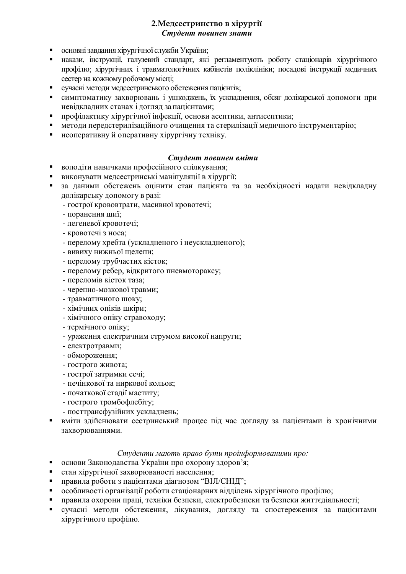# **2.**Медсестринство в хірургії Студент повинен знати

- основні завдання хірургічної служби України;
- накази, інструкції, галузевий стандарт, які регламентують роботу стаціонарів хірургічного профілю; хірургічних і травматологічних кабінетів поліклініки; посадові інструкції медичних сестер на кожному робочому місці;
- сучасні методи медсестринського обстеження пацієнтів;
- симптоматику захворювань і ушкоджень, їх ускладнення, обсяг долікарської допомоги при невідкладних станах і догляд за пацієнтами;
- профілактику хірургічної інфекції, основи асептики, антисептики;
- методи передстерилізаційного очищення та стерилізації медичного інструментарію;
- неоперативну й оперативну хірургічну техніку.

#### **Студент повинен вміти**

- володіти навичками професійного спілкування;
- виконувати медсестринські маніпуляції в хірургії;
- за даними обстежень оцінити стан пацієнта та за необхідності надати невідкладну долікарську допомогу в разі:
	- гострої крововтрати, масивної кровотечі;
	- поранення шиї;
	- легеневої кровотечі;
	- кровотечі з носа;
	- перелому хребта (ускладненого і неускладненого);
	- вивиху нижньої щелепи;
	- перелому трубчастих кісток;
	- перелому ребер, відкритого пневмотораксу;
	- переломів кісток таза;
	- черепно-мозкової травми;
	- травматичного шоку;
	- хімічних опіків шкіри;
	- хімічного опіку стравоходу:
	- термічного опіку;
	- ураження електричним струмом високої напруги;
	- електротравми;
	- обмороження;
	- гострого живота;
	- гострої затримки сечі;
	- печінкової та ниркової кольок;
	- початкової стадії маститу;
	- гострого тромбофлебіту;
	- посттрансфузійних ускладнень;
- вміти здійснювати сестринський процес під час догляду за пацієнтами із хронічними захворюваннями.

#### $C$ туденти мають право бути проінформованими про:

- основи Законодавства України про охорону здоров'я;
- стан хірургічної захворюваності населення;
- $\blacksquare$  правила роботи з пацієнтами діагнозом "ВІЛ/СНІД";
- $\bullet$  особливості організації роботи стаціонарних відділень хірургічного профілю;
- правила охорони праці, техніки безпеки, електробезпеки та безпеки життєдіяльності;
- сучасні методи обстеження, лікування, догляду та спостереження за пацієнтами xipypriчного профілю.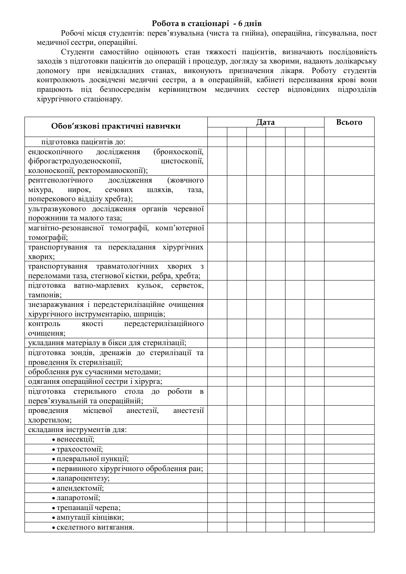## Робота в стаціонарі - 6 днів

Робочі місця студентів: перев'язувальна (чиста та гнійна), операційна, гіпсувальна, пост медичної сестри, операційні.

Студенти самостійно оцінюють стан тяжкості пацієнтів, визначають послідовність заходів з підготовки пацієнтів до операцій і процедур, догляду за хворими, надають долікарську допомогу при невідкладних станах, виконують призначення лікаря. Роботу студентів контролюють досвідчені медичні сестри, а в операційній, кабінеті переливання крові вони працюють під безпосереднім керівництвом медичних сестер відповідних підрозділів хірургічного стаціонару.

| Обов'язкові практичні навички                                                  |  | Дата | Всього |  |  |
|--------------------------------------------------------------------------------|--|------|--------|--|--|
|                                                                                |  |      |        |  |  |
| підготовка пацієнтів до:                                                       |  |      |        |  |  |
| ендоскопічного<br>(бронхоскопії,<br>дослідження                                |  |      |        |  |  |
| фіброгастродуоденоскопії,<br>цистоскопії,                                      |  |      |        |  |  |
| колоноскопії, ректороманоскопії);                                              |  |      |        |  |  |
| рентгенологічного дослідження<br>(жовчного                                     |  |      |        |  |  |
| нирок, сечових<br>міхура,<br>шляхів,<br>таза,<br>поперекового відділу хребта); |  |      |        |  |  |
| ультразвукового дослідження органів черевної                                   |  |      |        |  |  |
| порожнини та малого таза;                                                      |  |      |        |  |  |
| магнітно-резонансної томографії, комп'ютерної                                  |  |      |        |  |  |
| томографії;                                                                    |  |      |        |  |  |
| транспортування та перекладання хірургічних<br>хворих;                         |  |      |        |  |  |
| транспортування травматологічних хворих<br>3                                   |  |      |        |  |  |
| переломами таза, стегнової кістки, ребра, хребта;                              |  |      |        |  |  |
| підготовка ватно-марлевих кульок, серветок,                                    |  |      |        |  |  |
| тампонів;                                                                      |  |      |        |  |  |
| знезаражування і передстерилізаційне очищення                                  |  |      |        |  |  |
| хірургічного інструментарію, шприців;                                          |  |      |        |  |  |
| передстерилізаційного<br>контроль<br>якості                                    |  |      |        |  |  |
| очищення;                                                                      |  |      |        |  |  |
| укладання матеріалу в бікси для стерилізації;                                  |  |      |        |  |  |
| підготовка зондів, дренажів до стерилізації та<br>проведення їх стерилізації;  |  |      |        |  |  |
| оброблення рук сучасними методами;                                             |  |      |        |  |  |
| одягання операційної сестри і хірурга;                                         |  |      |        |  |  |
| підготовка стерильного стола до роботи<br>$\mathbf{B}$                         |  |      |        |  |  |
| перев'язувальній та операційній;                                               |  |      |        |  |  |
| місцевої<br>анестезії,<br>проведення<br>анестезії                              |  |      |        |  |  |
| хлоретилом;                                                                    |  |      |        |  |  |
| складання інструментів для:                                                    |  |      |        |  |  |
| • венесекції;                                                                  |  |      |        |  |  |
| • трахеостомії;                                                                |  |      |        |  |  |
| • плевральної пункції;                                                         |  |      |        |  |  |
| • первинного хірургічного оброблення ран;                                      |  |      |        |  |  |
| • лапароцентезу;                                                               |  |      |        |  |  |
| • апендектомії;                                                                |  |      |        |  |  |
| • лапаротомії;                                                                 |  |      |        |  |  |
| • трепанації черепа;                                                           |  |      |        |  |  |
| • ампутації кінцівки;                                                          |  |      |        |  |  |
| • скелетного витягання.                                                        |  |      |        |  |  |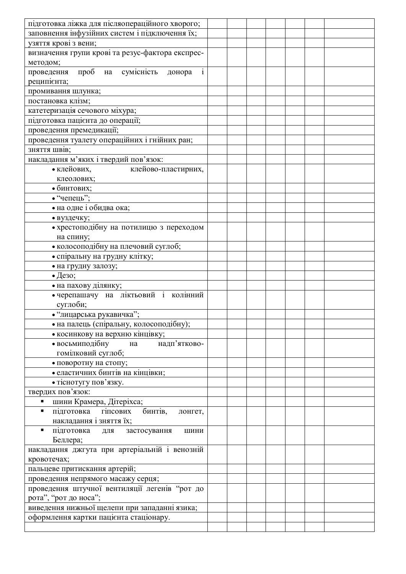| підготовка ліжка для післяопераційного хворого;            |  |  |  |  |
|------------------------------------------------------------|--|--|--|--|
| заповнення інфузійних систем і підключення їх;             |  |  |  |  |
| узяття крові з вени;                                       |  |  |  |  |
| визначення групи крові та резус-фактора експрес-           |  |  |  |  |
| методом;                                                   |  |  |  |  |
| проб на сумісність<br>проведення<br>донора<br>$\mathbf{1}$ |  |  |  |  |
| реципієнта;                                                |  |  |  |  |
| промивання шлунка;                                         |  |  |  |  |
| постановка клізм;                                          |  |  |  |  |
| катетеризація сечового міхура;                             |  |  |  |  |
|                                                            |  |  |  |  |
| підготовка пацієнта до операції;                           |  |  |  |  |
| проведення премедикації;                                   |  |  |  |  |
| проведення туалету операційних і гнійних ран;              |  |  |  |  |
| зняття швів;                                               |  |  |  |  |
| накладання м'яких і твердий пов'язок:                      |  |  |  |  |
| клейово-пластирних,<br>• клейових,                         |  |  |  |  |
| клеолових;                                                 |  |  |  |  |
| • бинтових;                                                |  |  |  |  |
| $\cdot$ "чепець";                                          |  |  |  |  |
| • на одне і обидва ока;                                    |  |  |  |  |
| • вуздечку;                                                |  |  |  |  |
| • хрестоподібну на потилицю з переходом                    |  |  |  |  |
| на спину;                                                  |  |  |  |  |
| • колосоподібну на плечовий суглоб;                        |  |  |  |  |
| • спіральну на грудну клітку;                              |  |  |  |  |
| • на грудну залозу;                                        |  |  |  |  |
| $\bullet$ Дезо;                                            |  |  |  |  |
| • на пахову ділянку;                                       |  |  |  |  |
| • черепашачу на ліктьовий і колінний                       |  |  |  |  |
| суглоби;                                                   |  |  |  |  |
| • "лицарська рукавичка";                                   |  |  |  |  |
| • на палець (спіральну, колосоподібну);                    |  |  |  |  |
| • косинкову на верхню кінцівку;                            |  |  |  |  |
| • восьмиподібну<br>надп'ятково-                            |  |  |  |  |
| на<br>гомілковий суглоб;                                   |  |  |  |  |
|                                                            |  |  |  |  |
| • поворотну на стопу;                                      |  |  |  |  |
| • еластичних бинтів на кінцівки;                           |  |  |  |  |
| • тіснотугу пов'язку.                                      |  |  |  |  |
| твердих пов'язок:                                          |  |  |  |  |
| шини Крамера, Дітеріхса;<br>п                              |  |  |  |  |
| підготовка гіпсових<br>бинтів,<br>лонгет,                  |  |  |  |  |
| накладання і зняття їх;                                    |  |  |  |  |
| ٠<br>підготовка<br>застосування<br>ДЛЯ<br>ШИНИ             |  |  |  |  |
| Беллера;                                                   |  |  |  |  |
| накладання джгута при артеріальній і венозній              |  |  |  |  |
| кровотечах;                                                |  |  |  |  |
| пальцеве притискання артерій;                              |  |  |  |  |
| проведення непрямого масажу серця;                         |  |  |  |  |
| проведення штучної вентиляції легенів "рот до              |  |  |  |  |
| рота", "рот до носа";                                      |  |  |  |  |
| виведення нижньої щелепи при западанні язика;              |  |  |  |  |
| оформлення картки пацієнта стаціонару.                     |  |  |  |  |
|                                                            |  |  |  |  |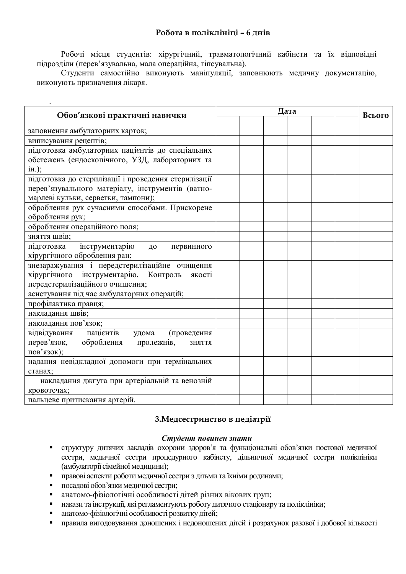Робочі місця студентів: хірургічний, травматологічний кабінети та їх відповідні підрозділи (перев'язувальна, мала операційна, гіпсувальна).

Студенти самостійно виконують маніпуляції, заповнюють медичну документацію, виконують призначення лікаря.

|                                                                                                                                                  | Дата |  |  |  |  |        |
|--------------------------------------------------------------------------------------------------------------------------------------------------|------|--|--|--|--|--------|
| Обов'язкові практичні навички                                                                                                                    |      |  |  |  |  | Всього |
| заповнення амбулаторних карток;                                                                                                                  |      |  |  |  |  |        |
| виписування рецептів;                                                                                                                            |      |  |  |  |  |        |
| підготовка амбулаторних пацієнтів до спеціальних<br>обстежень (ендоскопічного, УЗД, лабораторних та<br>$\overline{H}$ .);                        |      |  |  |  |  |        |
| підготовка до стерилізації і проведення стерилізації<br>перев'язувального матеріалу, інструментів (ватно-<br>марлеві кульки, серветки, тампони); |      |  |  |  |  |        |
| оброблення рук сучасними способами. Прискорене<br>оброблення рук;                                                                                |      |  |  |  |  |        |
| оброблення операційного поля;                                                                                                                    |      |  |  |  |  |        |
| зняття швів;                                                                                                                                     |      |  |  |  |  |        |
| інструментарію до<br>підготовка<br>первинного<br>хірургічного оброблення ран;                                                                    |      |  |  |  |  |        |
| знезаражування і передстерилізаційне очищення<br>хірургічного інструментарію. Контроль<br>якості<br>передстерилізаційного очищення;              |      |  |  |  |  |        |
| асистування під час амбулаторних операцій;                                                                                                       |      |  |  |  |  |        |
| профілактика правця;                                                                                                                             |      |  |  |  |  |        |
| накладання швів;                                                                                                                                 |      |  |  |  |  |        |
| накладання пов'язок;                                                                                                                             |      |  |  |  |  |        |
| відвідування пацієнтів<br>удома<br>(проведення<br>перев'язок, оброблення пролежнів,<br>ЗНЯТТЯ<br>пов'язок);                                      |      |  |  |  |  |        |
| надання невідкладної допомоги при термінальних<br>станах;                                                                                        |      |  |  |  |  |        |
| накладання джгута при артеріальній та венозній<br>кровотечах;                                                                                    |      |  |  |  |  |        |
| пальцеве притискання артерій.                                                                                                                    |      |  |  |  |  |        |

## З. Медсестринство в педіатрії

#### **Студент повинен знати**

- структуру дитячих закладів охорони здоров'я та функціональні обов'язки постової медичної сестри, медичної сестри процедурного кабінету, дільничної медичної сестри поліклініки (амбулаторії сімейної мелицини):
- правові аспекти роботи медичної сестри з дітьми та їхніми родинами;
- посадові обов'язки медичної сестри;
- анатомо-фізіологічні особливості дітей різних вікових груп;
- накази та інструкції, які регламентують роботу дитячого стаціонару та поліклініки;
- анатомо-фізіологічні особливості розвитку дітей;
- правила вигодовування доношених і недоношених дітей і розрахунок разової і добової кількості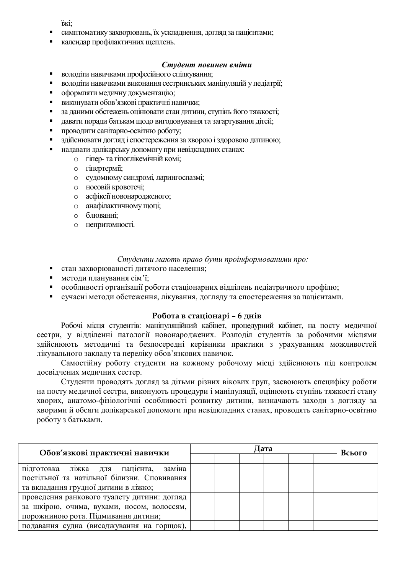їжі;

- симптоматику захворювань, їх ускладнення, догляд за пацієнтами;
- календар профілактичних щеплень.

#### **Студент повинен вміти**

- володіти навичками професійного спілкування;
- володіти навичками виконання сестринських маніпуляцій у педіатрії:
- оформляти медичну документацію;
- виконувати обов'язкові практичні навички;
- за даними обстежень оцінювати стан дитини, ступінь його тяжкості;
- давати поради батькам щодо вигодовування та загартування дітей;
- проводити санітарно-освітню роботу;
- здійснювати догляд і спостереження за хворою і здоровою дитиною;
- налавати лолікарську лопомогу при невілклалних станах:
	- о гіпер- та гіпоглікемічній комі;
	- o rineprepmii;
	- $\circ$  судомному синдромі, ларингоспазмі;
	- **O** НОСОВІЙ КРОВОТЕЧІ;
	- о асфіксії новонародженого;
	- $\circ$  анафілактичному щоці;
	- $O$  блюванні;
	- o непритомностi.

#### Студенти мають право бути проінформованими про:

- стан захворюваності литячого населення:
- методи планування сім'ї;
- особливості організації роботи стаціонарних відділень педіатричного профілю;
- сучасні методи обстеження, лікування, догляду та спостереження за пацієнтами.

## Робота в стаціонарі - 6 днів

Робочі місця студентів: маніпуляційний кабінет, процедурний кабінет, на посту медичної сестри, у відділенні патології новонароджених. Розподіл студентів за робочими місцями здійснюють методичні та безпосередні керівники практики з урахуванням можливостей лікувального закладу та переліку обов'язкових навичок.

Самостійну роботу студенти на кожному робочому місці злійснюють під контролем досвідчених медичних сестер.

Студенти проводять догляд за дітьми різних вікових груп, засвоюють специфіку роботи на посту медичної сестри, виконують процедури і маніпуляції, оцінюють ступінь тяжкості стану хворих, анатомо-фізіологічні особливості розвитку дитини, визначають заходи з догляду за хворими й обсяги долікарської допомоги при невідкладних станах, проводять санітарно-освітню роботу з батьками.

| Обов'язкові практичні навички               |  | Дата |  |  |  |  |        |
|---------------------------------------------|--|------|--|--|--|--|--------|
|                                             |  |      |  |  |  |  | Всього |
| підготовка ліжка для<br>пацієнта,<br>заміна |  |      |  |  |  |  |        |
| постільної та натільної білизни. Сповивання |  |      |  |  |  |  |        |
| та вкладання грудної дитини в ліжко;        |  |      |  |  |  |  |        |
| проведення ранкового туалету дитини: догляд |  |      |  |  |  |  |        |
| за шкірою, очима, вухами, носом, волоссям,  |  |      |  |  |  |  |        |
| порожниною рота. Підмивання дитини;         |  |      |  |  |  |  |        |
| подавання судна (висаджування на горщок),   |  |      |  |  |  |  |        |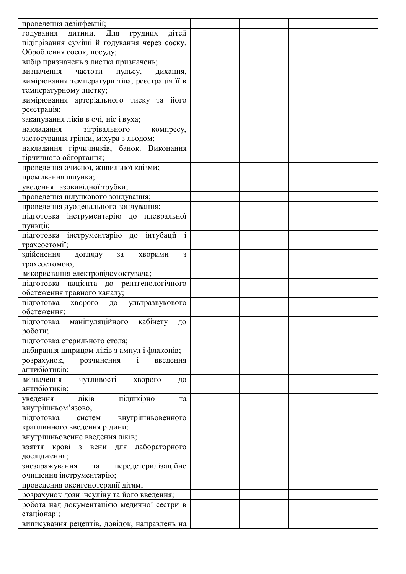| проведення дезінфекції;                               |  |  |  |  |
|-------------------------------------------------------|--|--|--|--|
| дітей<br>Для<br>грудних<br>годування<br>ДИТИНИ.       |  |  |  |  |
| підігрівання суміші й годування через соску.          |  |  |  |  |
| Оброблення сосок, посуду;                             |  |  |  |  |
| вибір призначень з листка призначень;                 |  |  |  |  |
|                                                       |  |  |  |  |
| визначення<br>частоти<br>пульсу,<br>дихання,          |  |  |  |  |
| вимірювання температури тіла, реєстрація її в         |  |  |  |  |
| температурному листку;                                |  |  |  |  |
| вимірювання артеріального тиску та його               |  |  |  |  |
| реєстрація;                                           |  |  |  |  |
| закапування ліків в очі, ніс і вуха;                  |  |  |  |  |
| зігрівального<br>накладання<br>компресу,              |  |  |  |  |
| застосування грілки, міхура з льодом;                 |  |  |  |  |
| накладання гірчичників, банок. Виконання              |  |  |  |  |
| гірчичного обгортання;                                |  |  |  |  |
| проведення очисної, живильної клізми;                 |  |  |  |  |
| промивання шлунка;                                    |  |  |  |  |
| уведення газовивідної трубки;                         |  |  |  |  |
| проведення шлункового зондування;                     |  |  |  |  |
| проведення дуоденального зондування;                  |  |  |  |  |
| підготовка інструментарію до плевральної              |  |  |  |  |
| пункції;                                              |  |  |  |  |
| підготовка інструментарію до інтубації і              |  |  |  |  |
|                                                       |  |  |  |  |
| трахеостомії;                                         |  |  |  |  |
| здійснення<br>догляду за<br>хворими<br>3              |  |  |  |  |
| трахеостомою;                                         |  |  |  |  |
| використання електровідсмоктувача;                    |  |  |  |  |
| підготовка пацієнта до рентгенологічного              |  |  |  |  |
| обстеження травного каналу;                           |  |  |  |  |
| підготовка хворого до ультразвукового                 |  |  |  |  |
| обстеження;                                           |  |  |  |  |
| маніпуляційного кабінету<br>підготовка<br>ДΟ          |  |  |  |  |
| роботи;                                               |  |  |  |  |
| підготовка стерильного стола;                         |  |  |  |  |
| набирання шприцом ліків з ампул і флаконів;           |  |  |  |  |
| $\mathbf{i}$<br>розрахунок,<br>розчинення<br>введення |  |  |  |  |
| антибіотиків;                                         |  |  |  |  |
| чутливості<br>визначення<br>хворого<br>ДО             |  |  |  |  |
| антибіотиків;                                         |  |  |  |  |
| підшкірно<br>ліків<br>уведення<br>та                  |  |  |  |  |
| внутрішньом'язово;                                    |  |  |  |  |
| внутрішньовенного<br>підготовка<br>систем             |  |  |  |  |
| краплинного введення рідини;                          |  |  |  |  |
| внутрішньовенне введення ліків;                       |  |  |  |  |
| взяття крові з вени для лабораторного                 |  |  |  |  |
| дослідження;                                          |  |  |  |  |
| передстерилізаційне<br>знезаражування<br>та           |  |  |  |  |
| очищення інструментарію;                              |  |  |  |  |
|                                                       |  |  |  |  |
| проведення оксигенотерапії дітям;                     |  |  |  |  |
| розрахунок дози інсуліну та його введення;            |  |  |  |  |
| робота над документацією медичної сестри в            |  |  |  |  |
| стаціонарі;                                           |  |  |  |  |
| виписування рецептів, довідок, направлень на          |  |  |  |  |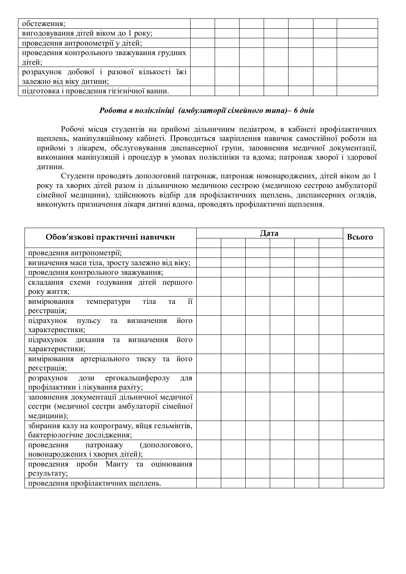| обстеження;                                |  |  |  |  |
|--------------------------------------------|--|--|--|--|
| вигодовування дітей віком до 1 року;       |  |  |  |  |
| проведення антропометрії у дітей;          |  |  |  |  |
| проведення контрольного зважування грудних |  |  |  |  |
| дітей;                                     |  |  |  |  |
| розрахунок добової і разової кількості їжі |  |  |  |  |
| залежно від віку дитини;                   |  |  |  |  |
| підготовка і проведення гігієнічної ванни. |  |  |  |  |

#### $P$ обота в поліклініці (амбулаторії сімейного типа)– 6 днів

Робочі місця студентів на прийомі дільничним педіатром, в кабінеті профілактичних щеплень, маніпуляційному кабінеті. Проводиться закріплення навичок самостійної роботи на прийомі з лікарем, обслуговування диспансерної групи, заповнення медичної документації, виконання маніпуляцій і процедур в умовах поліклініки та вдома; патронаж хворої і здорової литини

Студенти проводять допологовий патронаж, патронаж новонароджених, дітей віком до 1 року та хворих дітей разом із дільничною медичною сестрою (медичною сестрою амбулаторії сімейної медицини), здійснюють відбір для профілактичних щеплень, диспансерних оглядів, виконують призначення лікаря дитині вдома, проводять профілактичні щеплення.

| Обов'язкові практичні навички                  | Дата | Всього |
|------------------------------------------------|------|--------|
|                                                |      |        |
| проведення антропометрії;                      |      |        |
| визначення маси тіла, зросту залежно від віку; |      |        |
| проведення контрольного зважування;            |      |        |
| складання схеми годування дітей першого        |      |        |
| року життя;                                    |      |        |
| тіла<br>ïï<br>вимірювання температури<br>та    |      |        |
| реєстрація;                                    |      |        |
| його<br>підрахунок<br>пульсу<br>та визначення  |      |        |
| характеристики;                                |      |        |
| його<br>підрахунок дихання та визначення       |      |        |
| характеристики;                                |      |        |
| вимірювання артеріального тиску та його        |      |        |
| ресстрація;                                    |      |        |
| розрахунок дози ергокальциферолу<br>ДЛЯ        |      |        |
| профілактики і лікування рахіту;               |      |        |
| заповнення документації дільничної медичної    |      |        |
| сестри (медичної сестри амбулаторії сімейної   |      |        |
| медицини);                                     |      |        |
| збирання калу на копрограму, яйця гельмінтів,  |      |        |
| бактеріологічне дослідження;                   |      |        |
| проведення<br>(допологового,<br>патронажу      |      |        |
| новонароджених і хворих дітей);                |      |        |
| проведення проби Манту та оцінювання           |      |        |
| результату;                                    |      |        |
| проведення профілактичних щеплень.             |      |        |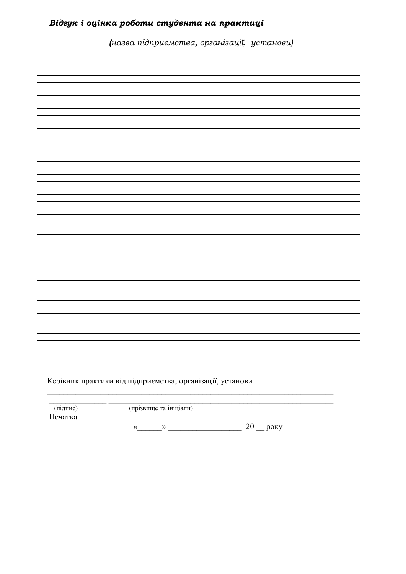*\_\_\_\_\_\_\_\_\_\_\_\_\_\_\_\_\_\_\_\_\_\_\_\_\_\_\_\_\_\_\_\_\_\_\_\_\_\_\_\_\_\_\_\_\_\_\_\_\_\_\_\_\_\_\_\_\_\_\_\_\_\_\_\_\_\_\_\_\_\_\_\_\_\_\_ (țȎȕȐȎȝȳȒȝȞȖȱȚȟȠȐȎ, ȜȞȑȎțȳȕȎȤȳȴ, ȡȟȠȎțȜȐȖ)*

Керівник практики від підприємства, організації, установи

| (підпис) | (прізвище та ініціали) |                   |
|----------|------------------------|-------------------|
| Печатка  |                        |                   |
|          |                        | <b>DOKV</b><br>∠∪ |

 $\mathcal{L}_\mathcal{L} = \mathcal{L}_\mathcal{L} = \mathcal{L}_\mathcal{L} = \mathcal{L}_\mathcal{L} = \mathcal{L}_\mathcal{L} = \mathcal{L}_\mathcal{L} = \mathcal{L}_\mathcal{L} = \mathcal{L}_\mathcal{L} = \mathcal{L}_\mathcal{L} = \mathcal{L}_\mathcal{L} = \mathcal{L}_\mathcal{L} = \mathcal{L}_\mathcal{L} = \mathcal{L}_\mathcal{L} = \mathcal{L}_\mathcal{L} = \mathcal{L}_\mathcal{L} = \mathcal{L}_\mathcal{L} = \mathcal{L}_\mathcal{L}$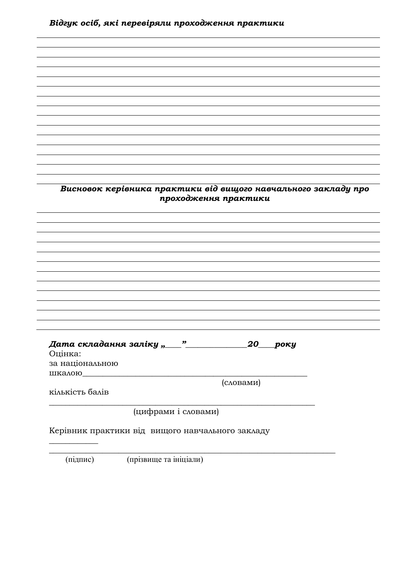Висновок керівника практики від вищого навчального закладу про *ȝȞȜȣȜȒȔȓțțȭȝȞȎȘȠȖȘȖ*

| Дата складання заліку " | 20<br>року |
|-------------------------|------------|
| Оцінка:                 |            |
| за національною         |            |
| шкалою                  |            |
|                         | (словами)  |
| кількість балів         |            |

\_\_\_\_\_\_\_\_\_\_\_\_\_\_\_\_\_\_\_\_\_\_\_\_\_\_\_\_\_\_\_\_\_\_\_\_\_\_\_\_\_\_\_\_\_\_\_\_\_\_\_\_\_\_\_\_\_\_\_\_\_\_\_\_\_

\_\_\_\_\_\_\_\_\_\_\_\_\_\_\_\_\_\_\_\_\_\_\_\_\_\_\_\_\_\_\_\_\_\_\_\_\_\_\_\_\_\_\_\_\_\_\_\_\_\_\_\_\_\_\_\_\_\_\_\_\_\_\_\_\_\_\_\_\_\_

(цифрами і словами)

Керівник практики від вищого навчального закладу

 $\overline{\phantom{a}}$  , where  $\overline{\phantom{a}}$ 

(підпис) (прізвище та ініціали)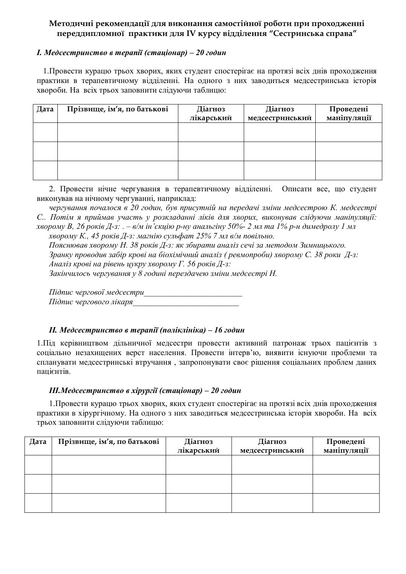# Методичні рекомендації для виконання самостійної роботи при проходженні переддипломної практики для IV курсу відділення "Сестринська справа"

## *I. Медсестринство в терапії (стаціонар) – 20 годин*

1. Провести курацю трьох хворих, яких студент спостерігає на протязі всіх днів проходження практики в терапевтичному відділенні. На одного з них заводиться медсестринська історія хвороби. На всіх трьох заповнити слідуючи таблицю:

| Дата | Прізвище, ім'я, по батькові | Діагноз<br>лікарський | Діагноз<br>медсестринський | Проведені<br>маніпуляції |
|------|-----------------------------|-----------------------|----------------------------|--------------------------|
|      |                             |                       |                            |                          |
|      |                             |                       |                            |                          |
|      |                             |                       |                            |                          |

2. Провести нічне чергування в терапевтичному відділенні. Описати все, що студент виконував на нічному чергуванні, наприклад:

чергування почалося в 20 годин, був присутній на передачі зміни медсестрою К. медсестрі С.. Потім я приймав участь у розкладанні ліків для хворих, виконував слідуючи маніпуляції: *xворому* В, 26 років Д-з: . – в/м ін'єкцію р-ну анальгіну 50%- 2 мл та 1% р-н димедролу 1 мл

 $x\epsilon$ еорому К., 45 років Д-з: магнію сульфат 25% 7 мл в/м повільно.

 $\Pi$ ояснював хворому Н. 38 років Д-з: як збирати аналіз сечі за методом Зимницького.  $\alpha$  Зранку проводив забір крові на біохімічний аналіз (ревмопроби) хворому С. 38 роки Д-з: *Aналіз крові на рівень цукру хворому Г. 56 років Д-з:* 

Закінчилось чергування у 8 годині перездачею зміни медсестрі Н.

 $\Box$ *Нідпис чергової медсестри ɉɿɞɩɢɫɱɟɪɝɨɜɨɝɨɥɿɤɚɪɹ\_\_\_\_\_\_\_\_\_\_\_\_\_\_\_\_\_\_\_\_\_\_\_\_\_\_*

## $II.$  *Медсестринство в терапії (поліклініка) – 16 годин*

1. Під керівництвом дільничної медсестри провести активний патронаж трьох пацієнтів з соціально незахищених верст населення. Провести інтерв'ю, виявити існуючи проблеми та спланувати медсестринські втручання, запропонувати своє рішення соціальних проблем даних πanieнтiв.

## $III.Me$ дсестринство в хірургії (стаціонар) – 20 годин

1. Провести курацю трьох хворих, яких студент спостерігає на протязі всіх днів проходження практики в хірургічному. На одного з них заводиться медсестринська історія хвороби. На всіх трьох заповнити слідуючи таблицю:

| Дата | Прізвище, ім'я, по батькові | Діагноз    | Діагноз         | Проведені<br>маніпуляції |
|------|-----------------------------|------------|-----------------|--------------------------|
|      |                             | лікарський | медсестринський |                          |
|      |                             |            |                 |                          |
|      |                             |            |                 |                          |
|      |                             |            |                 |                          |
|      |                             |            |                 |                          |
|      |                             |            |                 |                          |
|      |                             |            |                 |                          |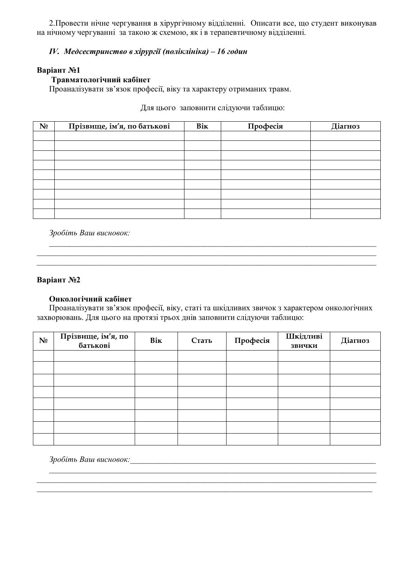2. Провести нічне чергування в хірургічному відділенні. Описати все, що студент виконував на нічному чергуванні за такою ж схемою, як і в терапевтичному відділенні.

#### **IV.** Медсестринство в хірургії (поліклініка) – 16 годин

## **Варіант №1**

# **Травматологічний кабінет**

Проаналізувати зв'язок професії, віку та характеру отриманих травм.

#### Для цього заповнити слідуючи таблицю:

| N <sub>0</sub> | Прізвище, ім'я, по батькові | Bik | Професія | Діагноз |
|----------------|-----------------------------|-----|----------|---------|
|                |                             |     |          |         |
|                |                             |     |          |         |
|                |                             |     |          |         |
|                |                             |     |          |         |
|                |                             |     |          |         |
|                |                             |     |          |         |
|                |                             |     |          |         |
|                |                             |     |          |         |
|                |                             |     |          |         |

 $3$ робіть Ваш висновок:

#### **Варіант №2**

#### Онкологічний кабінет

Проаналізувати зв'язок професії, віку, статі та шкідливих звичок з характером онкологічних захворювань. Для цього на протязі трьох днів заповнити слідуючи таблицю:

 $\mathcal{L} = \{ \mathcal{L} \mathcal{L} \mathcal{L} \mathcal{L} \mathcal{L} \mathcal{L} \mathcal{L} \mathcal{L} \mathcal{L} \mathcal{L} \mathcal{L} \mathcal{L} \mathcal{L} \mathcal{L} \mathcal{L} \mathcal{L} \mathcal{L} \mathcal{L} \mathcal{L} \mathcal{L} \mathcal{L} \mathcal{L} \mathcal{L} \mathcal{L} \mathcal{L} \mathcal{L} \mathcal{L} \mathcal{L} \mathcal{L} \mathcal{L} \mathcal{L} \mathcal{L} \mathcal{L} \mathcal{L} \mathcal{L} \$ 

| $N_{\!\!\scriptscriptstyle 2}$ | Прізвище, ім'я, по<br>батькові | Bik | Стать | Професія | Шкідливі<br>звички | Діагноз |
|--------------------------------|--------------------------------|-----|-------|----------|--------------------|---------|
|                                |                                |     |       |          |                    |         |
|                                |                                |     |       |          |                    |         |
|                                |                                |     |       |          |                    |         |
|                                |                                |     |       |          |                    |         |
|                                |                                |     |       |          |                    |         |
|                                |                                |     |       |          |                    |         |
|                                |                                |     |       |          |                    |         |
|                                |                                |     |       |          |                    |         |

 $\mathcal{L} = \{ \mathcal{L} \mathcal{L} \mathcal{L} \mathcal{L} \mathcal{L} \mathcal{L} \mathcal{L} \mathcal{L} \mathcal{L} \mathcal{L} \mathcal{L} \mathcal{L} \mathcal{L} \mathcal{L} \mathcal{L} \mathcal{L} \mathcal{L} \mathcal{L} \mathcal{L} \mathcal{L} \mathcal{L} \mathcal{L} \mathcal{L} \mathcal{L} \mathcal{L} \mathcal{L} \mathcal{L} \mathcal{L} \mathcal{L} \mathcal{L} \mathcal{L} \mathcal{L} \mathcal{L} \mathcal{L} \mathcal{L} \$ 

3робіть Ваш висновок: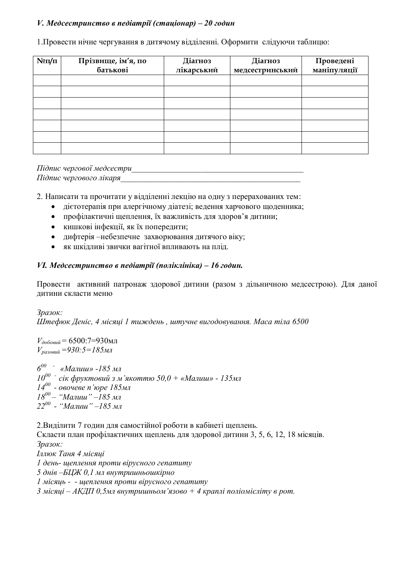## *V. Медсестринство в педіатрії (стаціонар) – 20 годин*

1. Провести нічне чергування в дитячому відділенні. Оформити слідуючи таблицю:

| $N$ <sup>o</sup> $\Pi$ / $\Pi$ | Прізвище, ім'я, по<br>батькові | Діагноз<br>лікарський | Діагноз<br>медсестринський | Проведені<br>маніпуляції |
|--------------------------------|--------------------------------|-----------------------|----------------------------|--------------------------|
|                                |                                |                       |                            |                          |
|                                |                                |                       |                            |                          |
|                                |                                |                       |                            |                          |
|                                |                                |                       |                            |                          |
|                                |                                |                       |                            |                          |
|                                |                                |                       |                            |                          |
|                                |                                |                       |                            |                          |

 $\Box$ *iдпис чергової медсестри*  $\Box$ *Нопис чергового лікаря* 

2. Написати та прочитати у відділенні лекцію на одну з перерахованих тем:

- дієтотерапія при алергічному діатезі; ведення харчового щоденника;
- профілактичні щеплення, їх важливість для здоров'я дитини;
- кишкові інфекції, як їх попередити;
- дифтерія –небезпечне захворювання дитячого віку;
- як шкідливі звички вагітної впливають на плід.

#### $V$ *I. Медсестринство в педіатрії (поліклініка) – 16 годин.*

Провести активний патронаж здорової дитини (разом з дільничною медсестрою). Для даної дитини скласти меню

3разок: *ɒɬɟɮɸɤȾɟɧɿɫ, 4 ɦɿɫɹɰɿ 1 ɬɢɠɞɟɧɶ , ɲɬɭɱɧɟɜɢɝɨɞɨɜɭɜɚɧɧɹ. Ɇɚɫɚɬɿɥɚ 6500*

 $V_{\partial \phi \delta$ <sub>*o*e $\mu \tilde{u}$ </sub> = 6500:7=930<sub>MJ</sub> *V*<sub>pa306u $\tilde{u}$  =930:5=185*M* $\tilde{u}$ </sub>

 $6^{00}$  <sup>-</sup> «Малиш» -185 мл  $10^{00}$  <sup>-</sup> *cik фруктовий з м'якоттю* 50,0 + «Малиш» - 135мл  $14<sup>00</sup>$  - овочеве п'юре 185мл *18*<sup>00</sup> – "Малиш" –185 мл 22<sup>00</sup> - "Малиш" –185 мл

2. Виділити 7 годин для самостійної роботи в кабінеті щеплень.

Скласти план профілактичних щеплень для здорової дитини 3, 5, 6, 12, 18 місяців. 3разок: *<u>Іллюк Таня 4 місяці</u>*  $\overline{I}$  день- щеплення проти вірусного гепатиту  $5$  днів –БЦЖ 0,1 мл внутришньошкірно  $1$  *місяць - - щеплення проти вірусного гепатиту* 3 місяці – АКДП 0,5мл внутришньом 'язово + 4 краплі поліомієліту в рот.